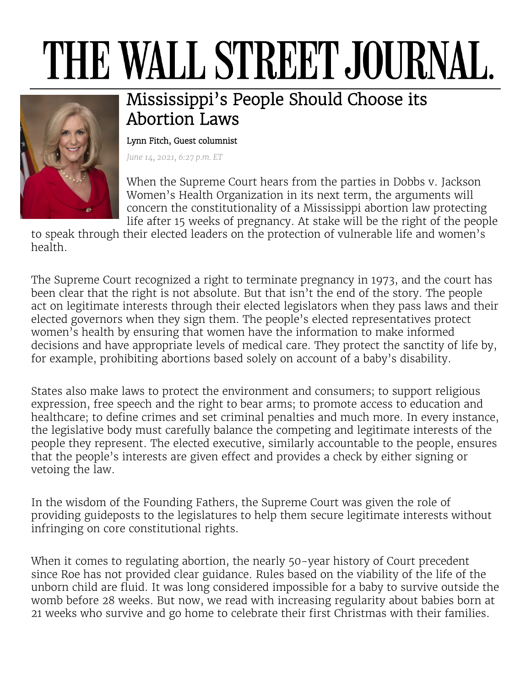## THE WALL STREET JOURNAL.



## Mississippi's People Should Choose its Abortion Laws

Lynn Fitch, Guest columnist

*June 14, 2021, 6:27 p.m. ET*

When the Supreme Court hears from the parties in Dobbs v. Jackson Women's Health Organization in its next term, the arguments will concern the constitutionality of a Mississippi abortion law protecting life after 15 weeks of pregnancy. At stake will be the right of the people

to speak through their elected leaders on the protection of vulnerable life and women's health.

The Supreme Court recognized a right to terminate pregnancy in 1973, and the court has been clear that the right is not absolute. But that isn't the end of the story. The people act on legitimate interests through their elected legislators when they pass laws and their elected governors when they sign them. The people's elected representatives protect women's health by ensuring that women have the information to make informed decisions and have appropriate levels of medical care. They protect the sanctity of life by, for example, prohibiting abortions based solely on account of a baby's disability.

States also make laws to protect the environment and consumers; to support religious expression, free speech and the right to bear arms; to promote access to education and healthcare; to define crimes and set criminal penalties and much more. In every instance, the legislative body must carefully balance the competing and legitimate interests of the people they represent. The elected executive, similarly accountable to the people, ensures that the people's interests are given effect and provides a check by either signing or vetoing the law.

In the wisdom of the Founding Fathers, the Supreme Court was given the role of providing guideposts to the legislatures to help them secure legitimate interests without infringing on core constitutional rights.

When it comes to regulating abortion, the nearly 50-year history of Court precedent since Roe has not provided clear guidance. Rules based on the viability of the life of the unborn child are fluid. It was long considered impossible for a baby to survive outside the womb before 28 weeks. But now, we read with increasing regularity about babies born at 21 weeks who survive and go home to celebrate their first Christmas with their families.